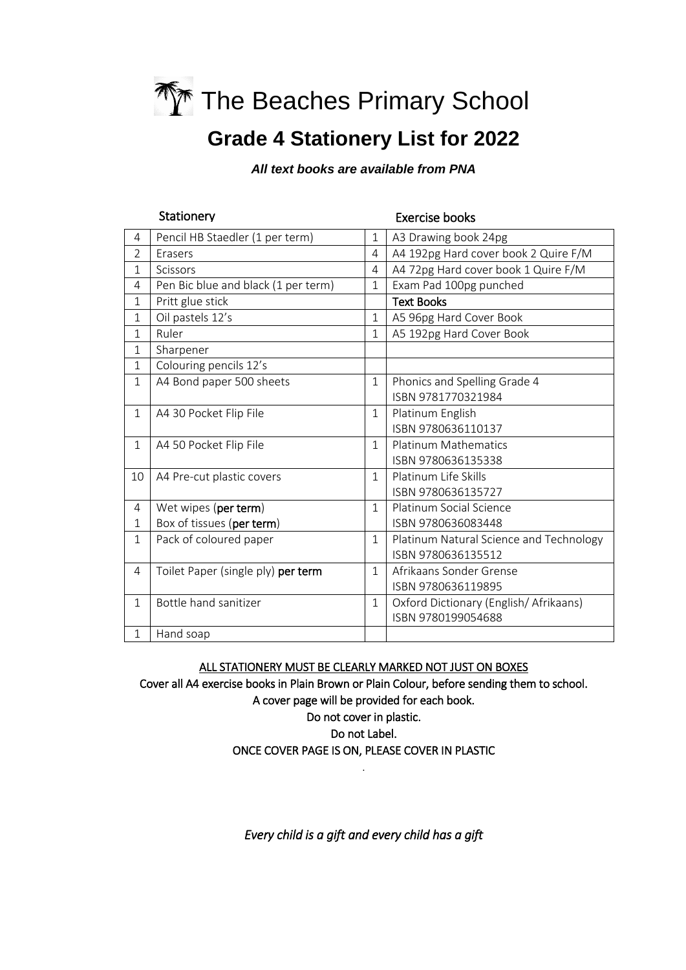

# **Grade 4 Stationery List for 2022**

*All text books are available from PNA*

| Stationery     |                                     |                | <b>Exercise books</b>                   |  |
|----------------|-------------------------------------|----------------|-----------------------------------------|--|
| 4              | Pencil HB Staedler (1 per term)     | $\mathbf 1$    | A3 Drawing book 24pg                    |  |
| $\overline{2}$ | Erasers                             | 4              | A4 192pg Hard cover book 2 Quire F/M    |  |
| 1              | Scissors                            | $\overline{4}$ | A4 72pg Hard cover book 1 Quire F/M     |  |
| 4              | Pen Bic blue and black (1 per term) | $\overline{1}$ | Exam Pad 100pg punched                  |  |
| $\mathbf{1}$   | Pritt glue stick                    |                | <b>Text Books</b>                       |  |
| $\mathbf{1}$   | Oil pastels 12's                    | $\mathbf{1}$   | A5 96pg Hard Cover Book                 |  |
| $\mathbf{1}$   | Ruler                               | $\mathbf{1}$   | A5 192pg Hard Cover Book                |  |
| 1              | Sharpener                           |                |                                         |  |
| $\mathbf 1$    | Colouring pencils 12's              |                |                                         |  |
| $\mathbf 1$    | A4 Bond paper 500 sheets            | $\mathbf 1$    | Phonics and Spelling Grade 4            |  |
|                |                                     |                | ISBN 9781770321984                      |  |
| $\mathbf{1}$   | A4 30 Pocket Flip File              | $\mathbf{1}$   | Platinum English                        |  |
|                |                                     |                | ISBN 9780636110137                      |  |
| $\mathbf{1}$   | A4 50 Pocket Flip File              | $\mathbf{1}$   | <b>Platinum Mathematics</b>             |  |
|                |                                     |                | ISBN 9780636135338                      |  |
| 10             | A4 Pre-cut plastic covers           | 1              | Platinum Life Skills                    |  |
|                |                                     |                | ISBN 9780636135727                      |  |
| 4              | Wet wipes (per term)                | $\mathbf{1}$   | Platinum Social Science                 |  |
| 1              | Box of tissues (per term)           |                | ISBN 9780636083448                      |  |
| $\mathbf{1}$   | Pack of coloured paper              | $\mathbf{1}$   | Platinum Natural Science and Technology |  |
|                |                                     |                | ISBN 9780636135512                      |  |
| $\overline{4}$ | Toilet Paper (single ply) per term  | 1              | Afrikaans Sonder Grense                 |  |
|                |                                     |                | ISBN 9780636119895                      |  |
| $\mathbf{1}$   | Bottle hand sanitizer               | $\mathbf{1}$   | Oxford Dictionary (English/Afrikaans)   |  |
|                |                                     |                | ISBN 9780199054688                      |  |
| $\mathbf{1}$   | Hand soap                           |                |                                         |  |

ALL STATIONERY MUST BE CLEARLY MARKED NOT JUST ON BOXES

Cover all A4 exercise books in Plain Brown or Plain Colour, before sending them to school. A cover page will be provided for each book.

Do not cover in plastic.

Do not Label.

ONCE COVER PAGE IS ON, PLEASE COVER IN PLASTIC .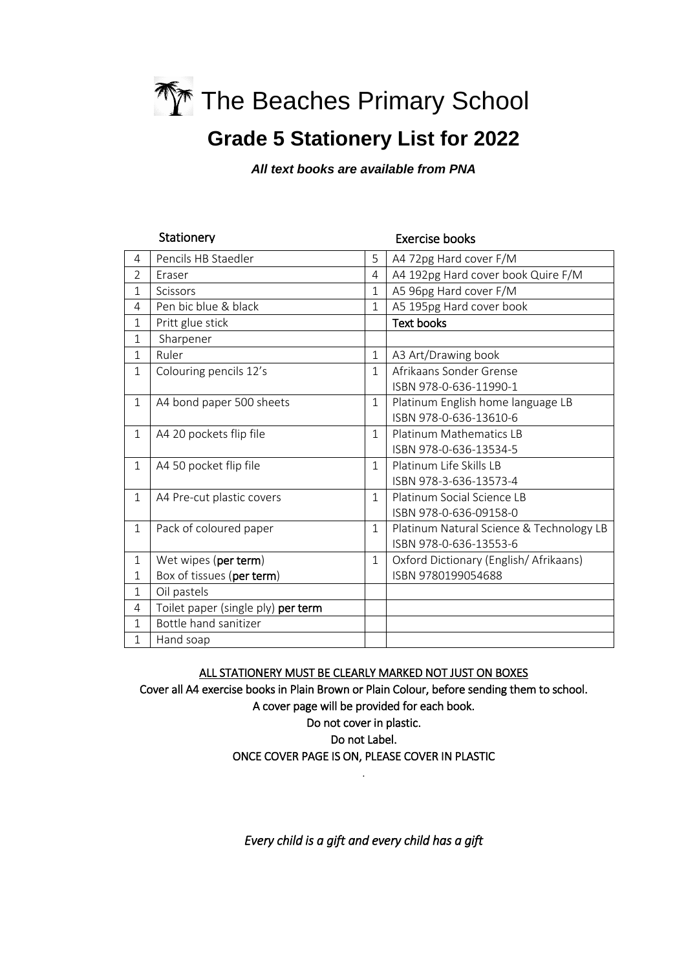

### **Grade 5 Stationery List for 2022**

*All text books are available from PNA*

|                | Stationery                         |                | <b>Exercise books</b>                    |
|----------------|------------------------------------|----------------|------------------------------------------|
| 4              | Pencils HB Staedler                | 5              | A4 72pg Hard cover F/M                   |
| $\overline{2}$ | Eraser                             | $\overline{4}$ | A4 192pg Hard cover book Quire F/M       |
| $\mathbf{1}$   | Scissors                           | $\mathbf{1}$   | A5 96pg Hard cover F/M                   |
| 4              | Pen bic blue & black               | $\mathbf{1}$   | A5 195pg Hard cover book                 |
| $\mathbf{1}$   | Pritt glue stick                   |                | <b>Text books</b>                        |
| $\mathbf{1}$   | Sharpener                          |                |                                          |
| $\mathbf{1}$   | Ruler                              | $\mathbf{1}$   | A3 Art/Drawing book                      |
| $\mathbf{1}$   | Colouring pencils 12's             | $\mathbf{1}$   | Afrikaans Sonder Grense                  |
|                |                                    |                | ISBN 978-0-636-11990-1                   |
| $\mathbf{1}$   | A4 bond paper 500 sheets           | $\mathbf 1$    | Platinum English home language LB        |
|                |                                    |                | ISBN 978-0-636-13610-6                   |
| $\mathbf{1}$   | A4 20 pockets flip file            | $\mathbf{1}$   | <b>Platinum Mathematics LB</b>           |
|                |                                    |                | ISBN 978-0-636-13534-5                   |
| $\mathbf{1}$   | A4 50 pocket flip file             | $\mathbf{1}$   | Platinum Life Skills LB                  |
|                |                                    |                | ISBN 978-3-636-13573-4                   |
| $\mathbf{1}$   | A4 Pre-cut plastic covers          | $\mathbf{1}$   | Platinum Social Science LB               |
|                |                                    |                | ISBN 978-0-636-09158-0                   |
| $\mathbf{1}$   | Pack of coloured paper             | $\mathbf 1$    | Platinum Natural Science & Technology LB |
|                |                                    |                | ISBN 978-0-636-13553-6                   |
| $\mathbf{1}$   | Wet wipes (per term)               | $\mathbf{1}$   | Oxford Dictionary (English/Afrikaans)    |
| $\mathbf{1}$   | Box of tissues (per term)          |                | ISBN 9780199054688                       |
| $\mathbf{1}$   | Oil pastels                        |                |                                          |
| 4              | Toilet paper (single ply) per term |                |                                          |
| $\mathbf{1}$   | Bottle hand sanitizer              |                |                                          |
| 1              | Hand soap                          |                |                                          |

ALL STATIONERY MUST BE CLEARLY MARKED NOT JUST ON BOXES

Cover all A4 exercise books in Plain Brown or Plain Colour, before sending them to school. A cover page will be provided for each book.

Do not cover in plastic.

Do not Label.

ONCE COVER PAGE IS ON, PLEASE COVER IN PLASTIC .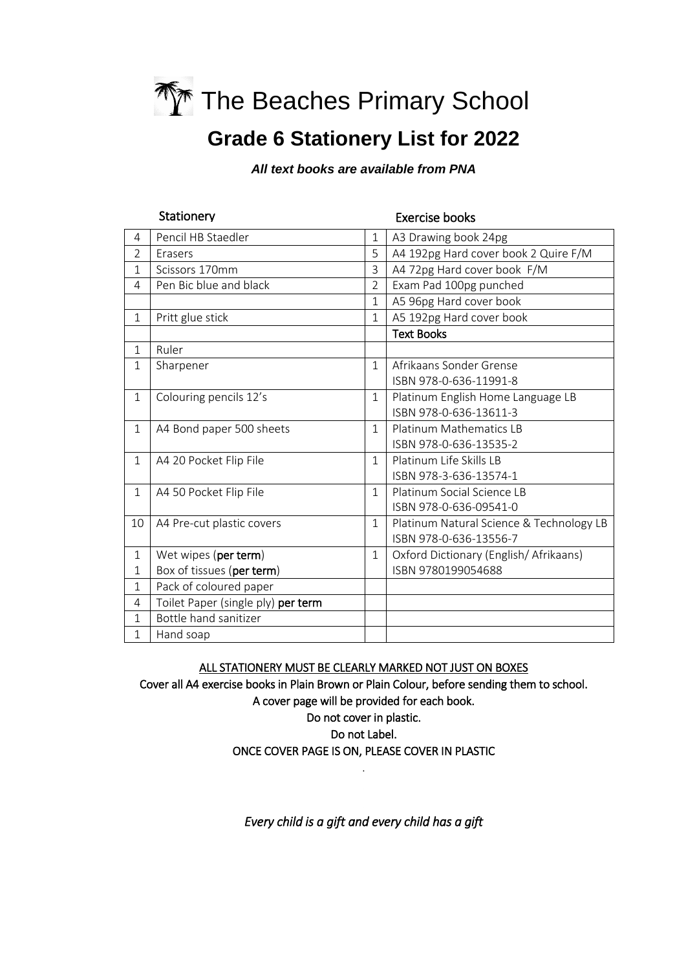

# **Grade 6 Stationery List for 2022**

*All text books are available from PNA*

| Stationery     |                                    |                | <b>Exercise books</b>                    |  |
|----------------|------------------------------------|----------------|------------------------------------------|--|
| 4              | Pencil HB Staedler                 | $\mathbf{1}$   | A3 Drawing book 24pg                     |  |
| $\overline{2}$ | Erasers                            | 5              | A4 192pg Hard cover book 2 Quire F/M     |  |
| 1              | Scissors 170mm                     | 3              | A4 72pg Hard cover book F/M              |  |
| 4              | Pen Bic blue and black             | $\overline{2}$ | Exam Pad 100pg punched                   |  |
|                |                                    | $\mathbf{1}$   | A5 96pg Hard cover book                  |  |
| $\mathbf{1}$   | Pritt glue stick                   | $\mathbf{1}$   | A5 192pg Hard cover book                 |  |
|                |                                    |                | <b>Text Books</b>                        |  |
| $\mathbf{1}$   | Ruler                              |                |                                          |  |
| $\mathbf{1}$   | Sharpener                          | $\mathbf{1}$   | Afrikaans Sonder Grense                  |  |
|                |                                    |                | ISBN 978-0-636-11991-8                   |  |
| $\mathbf 1$    | Colouring pencils 12's             | $\mathbf{1}$   | Platinum English Home Language LB        |  |
|                |                                    |                | ISBN 978-0-636-13611-3                   |  |
| $\mathbf{1}$   | A4 Bond paper 500 sheets           | $\mathbf{1}$   | <b>Platinum Mathematics LB</b>           |  |
|                |                                    |                | ISBN 978-0-636-13535-2                   |  |
| $\mathbf{1}$   | A4 20 Pocket Flip File             | $\mathbf{1}$   | Platinum Life Skills LB                  |  |
|                |                                    |                | ISBN 978-3-636-13574-1                   |  |
| $\mathbf{1}$   | A4 50 Pocket Flip File             | 1              | Platinum Social Science LB               |  |
|                |                                    |                | ISBN 978-0-636-09541-0                   |  |
| 10             | A4 Pre-cut plastic covers          | $\mathbf{1}$   | Platinum Natural Science & Technology LB |  |
|                |                                    |                | ISBN 978-0-636-13556-7                   |  |
| 1              | Wet wipes (per term)               | $\mathbf{1}$   | Oxford Dictionary (English/Afrikaans)    |  |
| 1              | Box of tissues (per term)          |                | ISBN 9780199054688                       |  |
| $\mathbf{1}$   | Pack of coloured paper             |                |                                          |  |
| 4              | Toilet Paper (single ply) per term |                |                                          |  |
| $\mathbf{1}$   | Bottle hand sanitizer              |                |                                          |  |
| $\mathbf{1}$   | Hand soap                          |                |                                          |  |

ALL STATIONERY MUST BE CLEARLY MARKED NOT JUST ON BOXES

Cover all A4 exercise books in Plain Brown or Plain Colour, before sending them to school. A cover page will be provided for each book.

Do not cover in plastic. Do not Label.

ONCE COVER PAGE IS ON, PLEASE COVER IN PLASTIC .